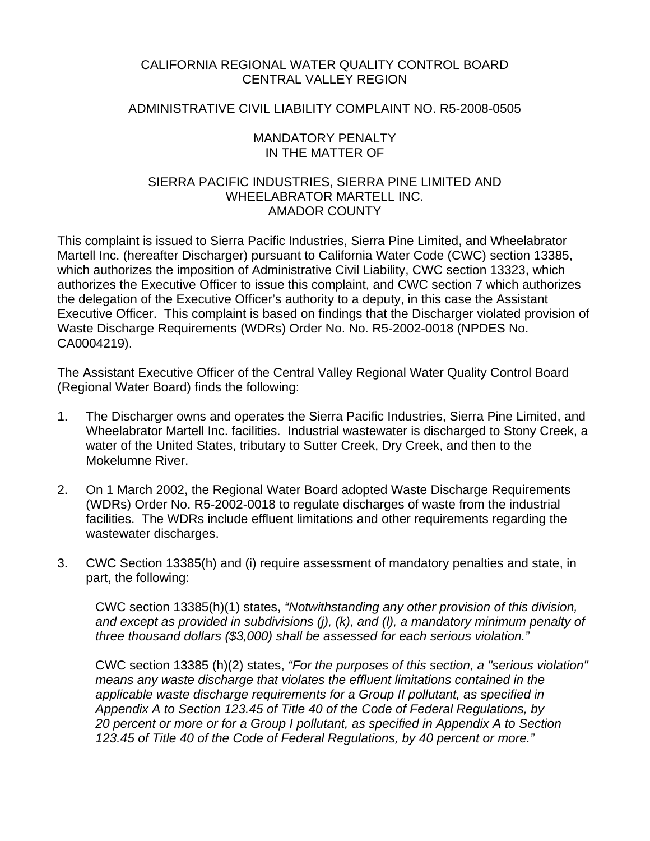## CALIFORNIA REGIONAL WATER QUALITY CONTROL BOARD CENTRAL VALLEY REGION

### ADMINISTRATIVE CIVIL LIABILITY COMPLAINT NO. R5-2008-0505

#### MANDATORY PENALTY IN THE MATTER OF

## SIERRA PACIFIC INDUSTRIES, SIERRA PINE LIMITED AND WHEELABRATOR MARTELL INC. AMADOR COUNTY

This complaint is issued to Sierra Pacific Industries, Sierra Pine Limited, and Wheelabrator Martell Inc. (hereafter Discharger) pursuant to California Water Code (CWC) section 13385, which authorizes the imposition of Administrative Civil Liability, CWC section 13323, which authorizes the Executive Officer to issue this complaint, and CWC section 7 which authorizes the delegation of the Executive Officer's authority to a deputy, in this case the Assistant Executive Officer. This complaint is based on findings that the Discharger violated provision of Waste Discharge Requirements (WDRs) Order No. No. R5-2002-0018 (NPDES No. CA0004219).

The Assistant Executive Officer of the Central Valley Regional Water Quality Control Board (Regional Water Board) finds the following:

- 1. The Discharger owns and operates the Sierra Pacific Industries, Sierra Pine Limited, and Wheelabrator Martell Inc. facilities. Industrial wastewater is discharged to Stony Creek, a water of the United States, tributary to Sutter Creek, Dry Creek, and then to the Mokelumne River.
- 2. On 1 March 2002, the Regional Water Board adopted Waste Discharge Requirements (WDRs) Order No. R5-2002-0018 to regulate discharges of waste from the industrial facilities. The WDRs include effluent limitations and other requirements regarding the wastewater discharges.
- 3. CWC Section 13385(h) and (i) require assessment of mandatory penalties and state, in part, the following:

CWC section 13385(h)(1) states, *"Notwithstanding any other provision of this division, and except as provided in subdivisions (j), (k), and (l), a mandatory minimum penalty of three thousand dollars (\$3,000) shall be assessed for each serious violation."* 

CWC section 13385 (h)(2) states, *"For the purposes of this section, a "serious violation" means any waste discharge that violates the effluent limitations contained in the applicable waste discharge requirements for a Group II pollutant, as specified in Appendix A to Section 123.45 of Title 40 of the Code of Federal Regulations, by 20 percent or more or for a Group I pollutant, as specified in Appendix A to Section 123.45 of Title 40 of the Code of Federal Regulations, by 40 percent or more."*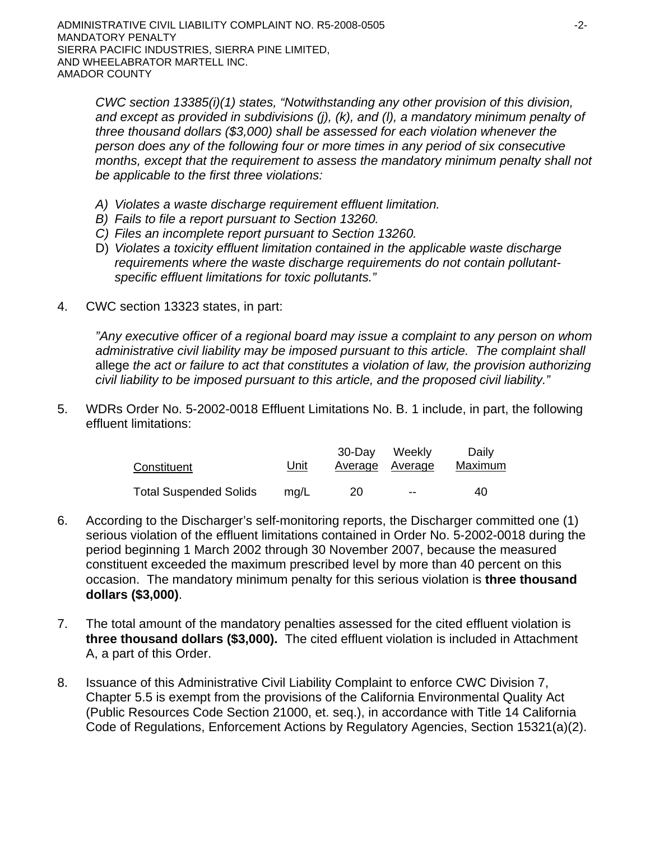*CWC section 13385(i)(1) states, "Notwithstanding any other provision of this division, and except as provided in subdivisions (j), (k), and (l), a mandatory minimum penalty of three thousand dollars (\$3,000) shall be assessed for each violation whenever the person does any of the following four or more times in any period of six consecutive months, except that the requirement to assess the mandatory minimum penalty shall not be applicable to the first three violations:* 

- *A) Violates a waste discharge requirement effluent limitation.*
- *B) Fails to file a report pursuant to Section 13260.*
- *C) Files an incomplete report pursuant to Section 13260.*
- D) *Violates a toxicity effluent limitation contained in the applicable waste discharge requirements where the waste discharge requirements do not contain pollutantspecific effluent limitations for toxic pollutants."*
- 4. CWC section 13323 states, in part:

*"Any executive officer of a regional board may issue a complaint to any person on whom administrative civil liability may be imposed pursuant to this article. The complaint shall*  allege *the act or failure to act that constitutes a violation of law, the provision authorizing civil liability to be imposed pursuant to this article, and the proposed civil liability."*

5. WDRs Order No. 5-2002-0018 Effluent Limitations No. B. 1 include, in part, the following effluent limitations:

| Constituent                   | <u>Unit</u> | 30-Dav | Weeklv<br>Average Average | Daily<br>Maximum |
|-------------------------------|-------------|--------|---------------------------|------------------|
| <b>Total Suspended Solids</b> | ma/L        | 20     | $- -$                     | 40               |

- 6. According to the Discharger's self-monitoring reports, the Discharger committed one (1) serious violation of the effluent limitations contained in Order No. 5-2002-0018 during the period beginning 1 March 2002 through 30 November 2007, because the measured constituent exceeded the maximum prescribed level by more than 40 percent on this occasion. The mandatory minimum penalty for this serious violation is **three thousand dollars (\$3,000)**.
- 7. The total amount of the mandatory penalties assessed for the cited effluent violation is **three thousand dollars (\$3,000).** The cited effluent violation is included in Attachment A, a part of this Order.
- 8. Issuance of this Administrative Civil Liability Complaint to enforce CWC Division 7, Chapter 5.5 is exempt from the provisions of the California Environmental Quality Act (Public Resources Code Section 21000, et. seq.), in accordance with Title 14 California Code of Regulations, Enforcement Actions by Regulatory Agencies, Section 15321(a)(2).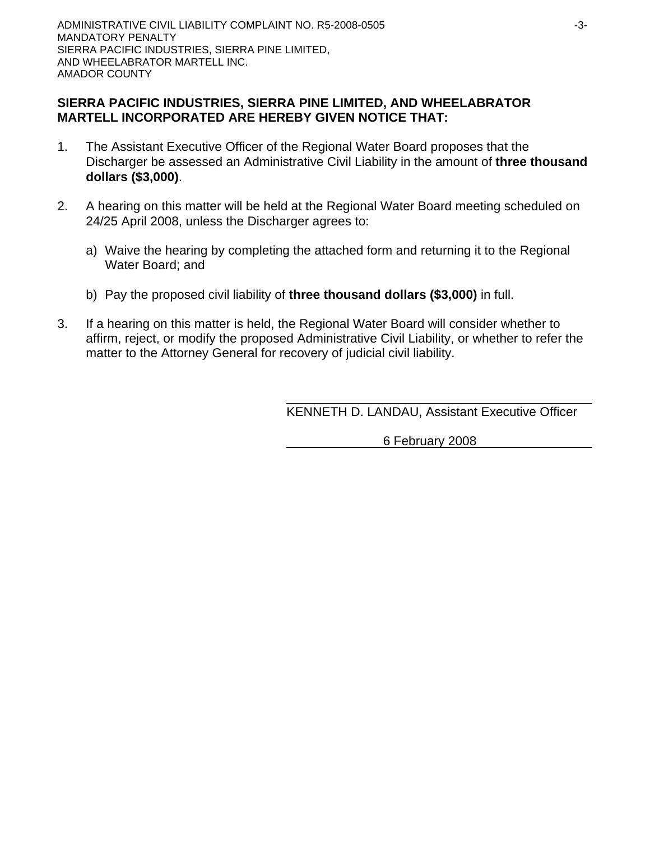## **SIERRA PACIFIC INDUSTRIES, SIERRA PINE LIMITED, AND WHEELABRATOR MARTELL INCORPORATED ARE HEREBY GIVEN NOTICE THAT:**

- 1. The Assistant Executive Officer of the Regional Water Board proposes that the Discharger be assessed an Administrative Civil Liability in the amount of **three thousand dollars (\$3,000)**.
- 2. A hearing on this matter will be held at the Regional Water Board meeting scheduled on 24/25 April 2008, unless the Discharger agrees to:
	- a) Waive the hearing by completing the attached form and returning it to the Regional Water Board; and
	- b) Pay the proposed civil liability of **three thousand dollars (\$3,000)** in full.
- 3. If a hearing on this matter is held, the Regional Water Board will consider whether to affirm, reject, or modify the proposed Administrative Civil Liability, or whether to refer the matter to the Attorney General for recovery of judicial civil liability.

KENNETH D. LANDAU, Assistant Executive Officer

6 February 2008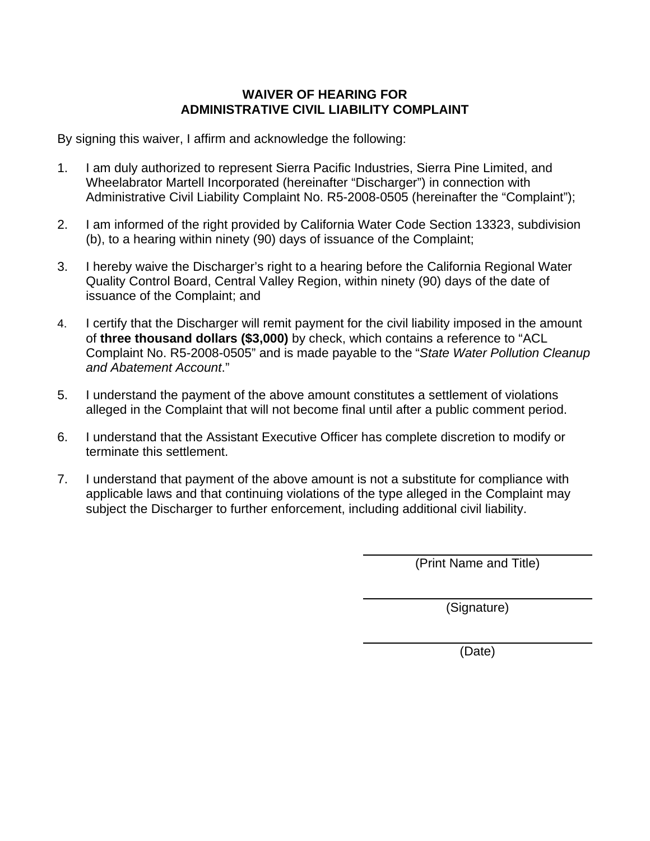# **WAIVER OF HEARING FOR ADMINISTRATIVE CIVIL LIABILITY COMPLAINT**

By signing this waiver, I affirm and acknowledge the following:

- 1. I am duly authorized to represent Sierra Pacific Industries, Sierra Pine Limited, and Wheelabrator Martell Incorporated (hereinafter "Discharger") in connection with Administrative Civil Liability Complaint No. R5-2008-0505 (hereinafter the "Complaint");
- 2. I am informed of the right provided by California Water Code Section 13323, subdivision (b), to a hearing within ninety (90) days of issuance of the Complaint;
- 3. I hereby waive the Discharger's right to a hearing before the California Regional Water Quality Control Board, Central Valley Region, within ninety (90) days of the date of issuance of the Complaint; and
- 4. I certify that the Discharger will remit payment for the civil liability imposed in the amount of **three thousand dollars (\$3,000)** by check, which contains a reference to "ACL Complaint No. R5-2008-0505" and is made payable to the "*State Water Pollution Cleanup and Abatement Account*."
- 5. I understand the payment of the above amount constitutes a settlement of violations alleged in the Complaint that will not become final until after a public comment period.
- 6. I understand that the Assistant Executive Officer has complete discretion to modify or terminate this settlement.
- 7. I understand that payment of the above amount is not a substitute for compliance with applicable laws and that continuing violations of the type alleged in the Complaint may subject the Discharger to further enforcement, including additional civil liability.

(Print Name and Title)

(Signature)

(Date)